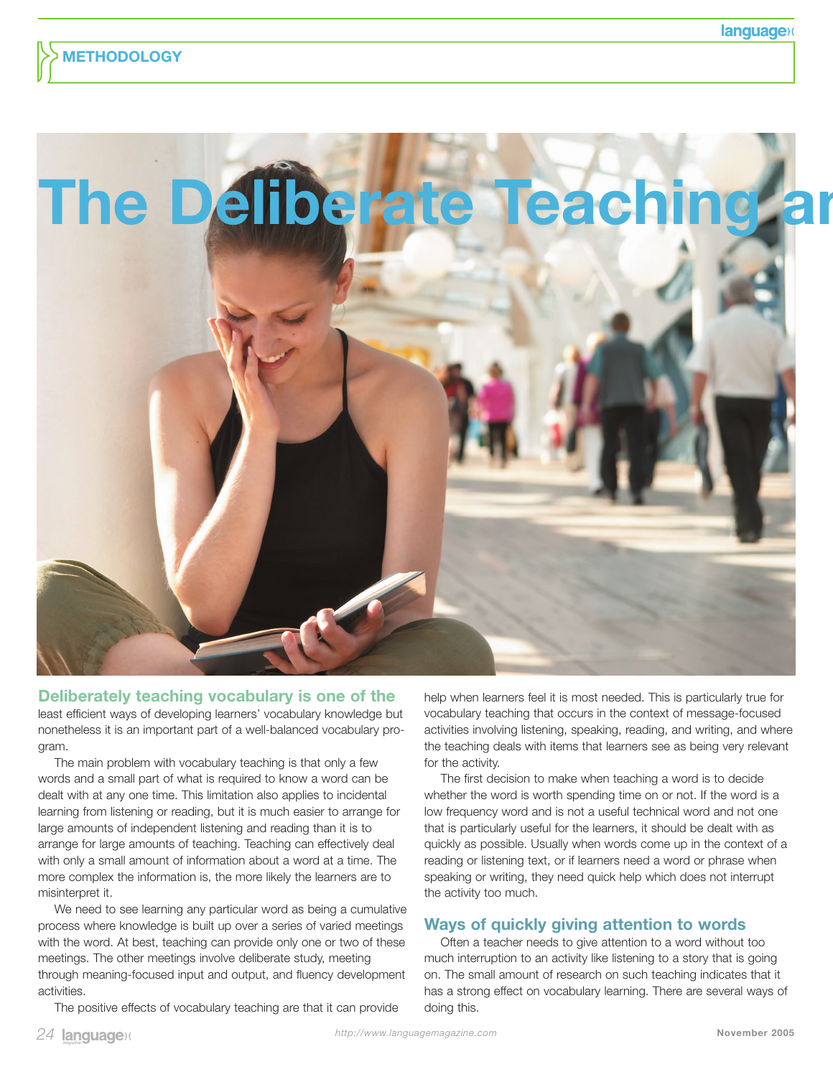

#### **Deliberately teaching vocabulary is one of the**

least efficient ways of developing learners' vocabulary knowledge but nonetheless it is an important part of a well-balanced vocabulary program.

The main problem with vocabulary teaching is that only a few words and a small part of what is required to know a word can be dealt with at any one time. This limitation also applies to incidental learning from listening or reading, but it is much easier to arrange for large amounts of independent listening and reading than it is to arrange for large amounts of teaching. Teaching can effectively deal with only a small amount of information about a word at a time. The more complex the information is, the more likely the learners are to misinterpret it.

We need to see learning any particular word as being a cumulative process where knowledge is built up over a series of varied meetings with the word. At best, teaching can provide only one or two of these meetings. The other meetings involve deliberate study, meeting through meaning-focused input and output, and fluency development activities.

The positive effects of vocabulary teaching are that it can provide

help when learners feel it is most needed. This is particularly true for vocabulary teaching that occurs in the context of message-focused activities involving listening, speaking, reading, and writing, and where the teaching deals with items that learners see as being very relevant for the activity.

The first decision to make when teaching a word is to decide whether the word is worth spending time on or not. If the word is a low frequency word and is not a useful technical word and not one that is particularly useful for the learners, it should be dealt with as quickly as possible. Usually when words come up in the context of a reading or listening text, or if learners need a word or phrase when speaking or writing, they need quick help which does not interrupt the activity too much.

# **Ways of quickly giving attention to words**

Often a teacher needs to give attention to a word without too much interruption to an activity like listening to a story that is going on. The small amount of research on such teaching indicates that it has a strong effect on vocabulary learning. There are several ways of doing this.